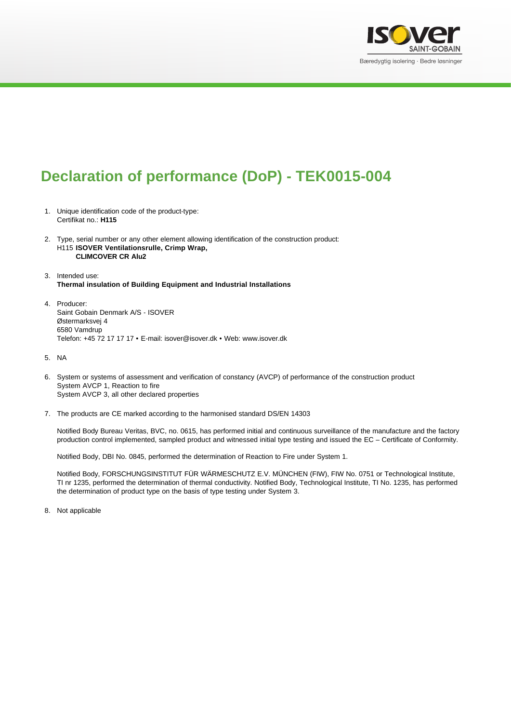

## **Declaration of performance (DoP) - TEK0015-004**

- 1. Unique identification code of the product-type: Certifikat no.: **H115**
- 2. Type, serial number or any other element allowing identification of the construction product: H115 **ISOVER Ventilationsrulle, Crimp Wrap, CLIMCOVER CR Alu2**
- 3. Intended use: **Thermal insulation of Building Equipment and Industrial Installations**
- 4. Producer: Saint Gobain Denmark A/S - ISOVER Østermarksvej 4 6580 Vamdrup Telefon: +45 72 17 17 17 • E-mail: isover@isover.dk • Web: www.isover.dk
- 5. NA
- 6. System or systems of assessment and verification of constancy (AVCP) of performance of the construction product System AVCP 1, Reaction to fire System AVCP 3, all other declared properties
- 7. The products are CE marked according to the harmonised standard DS/EN 14303

Notified Body Bureau Veritas, BVC, no. 0615, has performed initial and continuous surveillance of the manufacture and the factory production control implemented, sampled product and witnessed initial type testing and issued the EC – Certificate of Conformity.

Notified Body, DBI No. 0845, performed the determination of Reaction to Fire under System 1.

Notified Body, FORSCHUNGSINSTITUT FÜR WÄRMESCHUTZ E.V. MÜNCHEN (FIW), FIW No. 0751 or Technological Institute, TI nr 1235, performed the determination of thermal conductivity. Notified Body, Technological Institute, TI No. 1235, has performed the determination of product type on the basis of type testing under System 3.

8. Not applicable